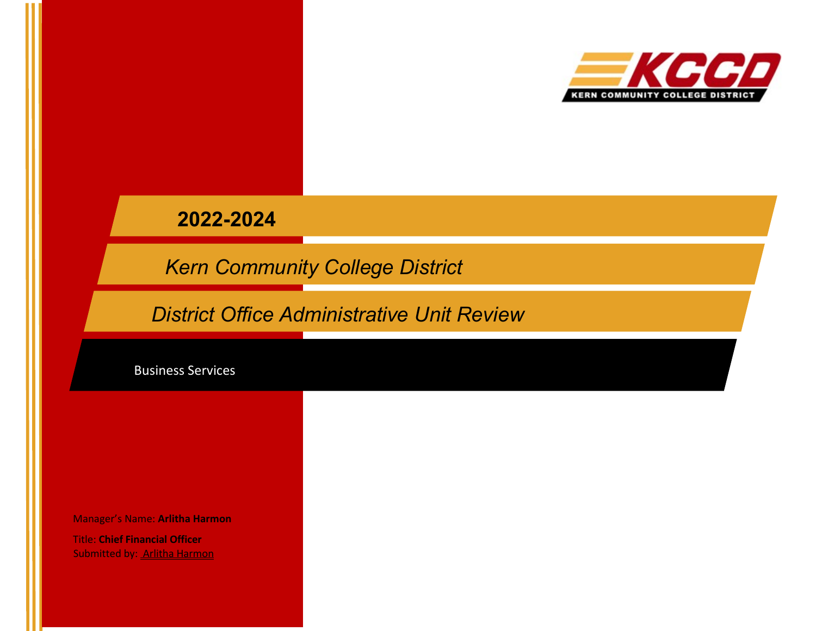

# **2022-2024**

*Kern Community College District*

*District Office Administrative Unit Review*

Business Services

Manager's Name: **Arlitha Harmon**

Title: **Chief Financial Officer** Submitted by: Arlitha Harmon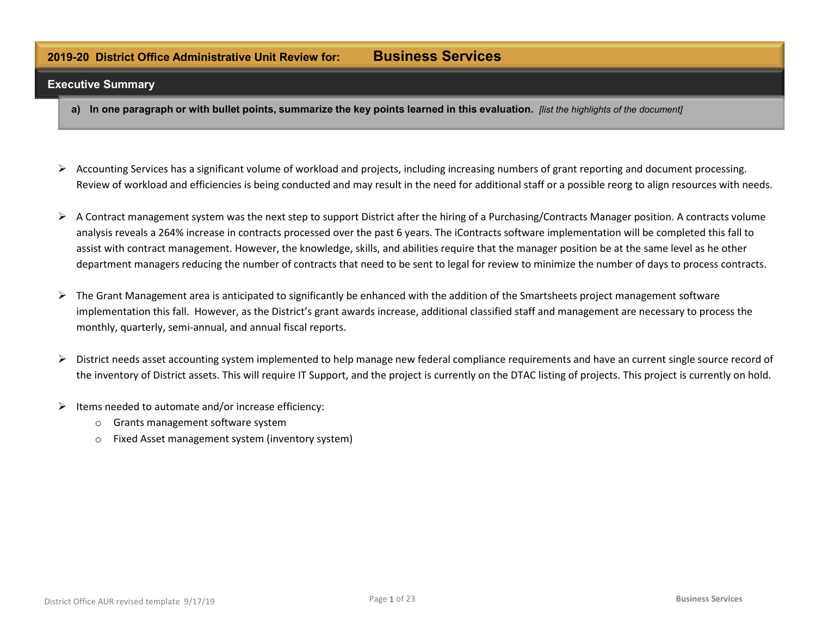## **2019-20 District Office Administrative Unit Review for: Business Services**

#### **Executive Summary**

- a) In one paragraph or with bullet points, summarize the key points learned in this evaluation. [list the highlights of the document]
- $\triangleright$  Accounting Services has a significant volume of workload and projects, including increasing numbers of grant reporting and document processing. Review of workload and efficiencies is being conducted and may result in the need for additional staff or a possible reorg to align resources with needs.
- $\triangleright$  A Contract management system was the next step to support District after the hiring of a Purchasing/Contracts Manager position. A contracts volume analysis reveals a 264% increase in contracts processed over the past 6 years. The iContracts software implementation will be completed this fall to assist with contract management. However, the knowledge, skills, and abilities require that the manager position be at the same level as he other department managers reducing the number of contracts that need to be sent to legal for review to minimize the number of days to process contracts.
- $\triangleright$  The Grant Management area is anticipated to significantly be enhanced with the addition of the Smartsheets project management software implementation this fall. However, as the District's grant awards increase, additional classified staff and management are necessary to process the monthly, quarterly, semi-annual, and annual fiscal reports.
- $\triangleright$  District needs asset accounting system implemented to help manage new federal compliance requirements and have an current single source record of the inventory of District assets. This will require IT Support, and the project is currently on the DTAC listing of projects. This project is currently on hold.
- $\triangleright$  Items needed to automate and/or increase efficiency:
	- o Grants management software system
	- o Fixed Asset management system (inventory system)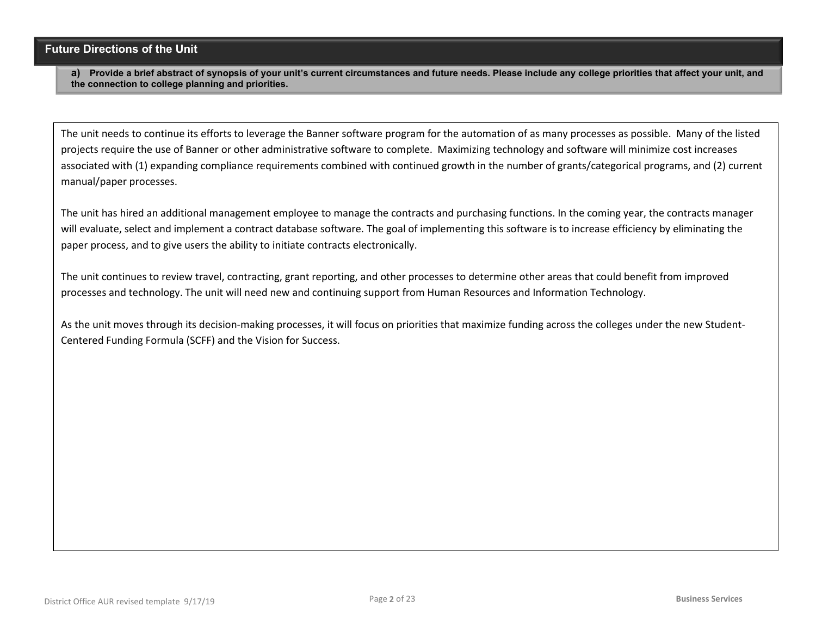#### **Future Directions of the Unit**

**a) Provide a brief abstract of synopsis of your unit's current circumstances and future needs. Please include any college priorities that affect your unit, and the connection to college planning and priorities.**

The unit needs to continue its efforts to leverage the Banner software program for the automation of as many processes as possible. Many of the listed projects require the use of Banner or other administrative software to complete. Maximizing technology and software will minimize cost increases associated with (1) expanding compliance requirements combined with continued growth in the number of grants/categorical programs, and (2) current manual/paper processes.

The unit has hired an additional management employee to manage the contracts and purchasing functions. In the coming year, the contracts manager will evaluate, select and implement a contract database software. The goal of implementing this software is to increase efficiency by eliminating the paper process, and to give users the ability to initiate contracts electronically.

The unit continues to review travel, contracting, grant reporting, and other processes to determine other areas that could benefit from improved processes and technology. The unit will need new and continuing support from Human Resources and Information Technology.

As the unit moves through its decision-making processes, it will focus on priorities that maximize funding across the colleges under the new Student-Centered Funding Formula (SCFF) and the Vision for Success.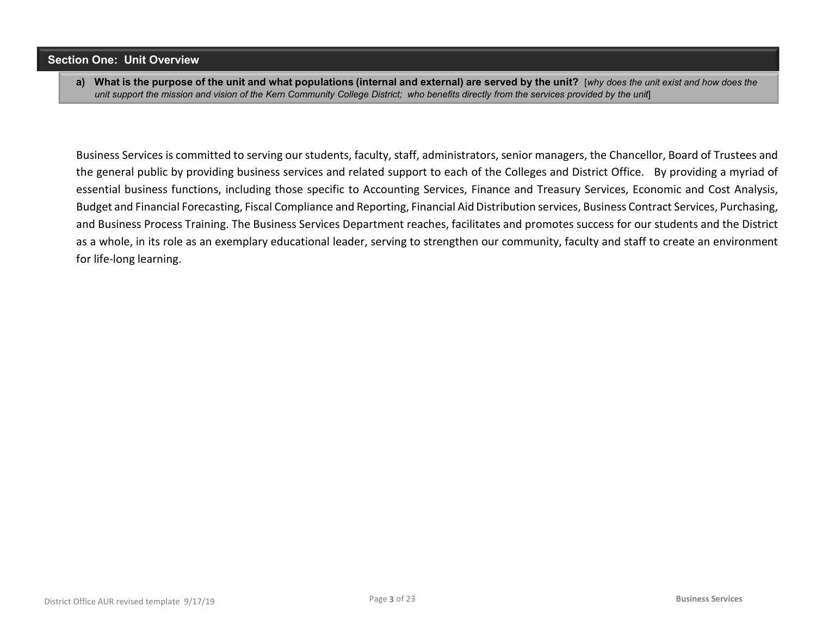#### **Section One: Unit Overview**

a) What is the purpose of the unit and what populations (internal and external) are served by the unit? [why does the unit exist and how does the unit support the mission and vision of the Kern Community College District; who benefits directly from the services provided by the unit]

Business Services is committed to serving our students, faculty, staff, administrators, senior managers, the Chancellor, Board of Trustees and the general public by providing business services and related support to each of the Colleges and District Office. By providing a myriad of essential business functions, including those specific to Accounting Services, Finance and Treasury Services, Economic and Cost Analysis, Budget and Financial Forecasting, Fiscal Compliance and Reporting, Financial Aid Distribution services, Business Contract Services, Purchasing, and Business Process Training. The Business Services Department reaches, facilitates and promotes success for our students and the District as a whole, in its role as an exemplary educational leader, serving to strengthen our community, faculty and staff to create an environment for life-long learning.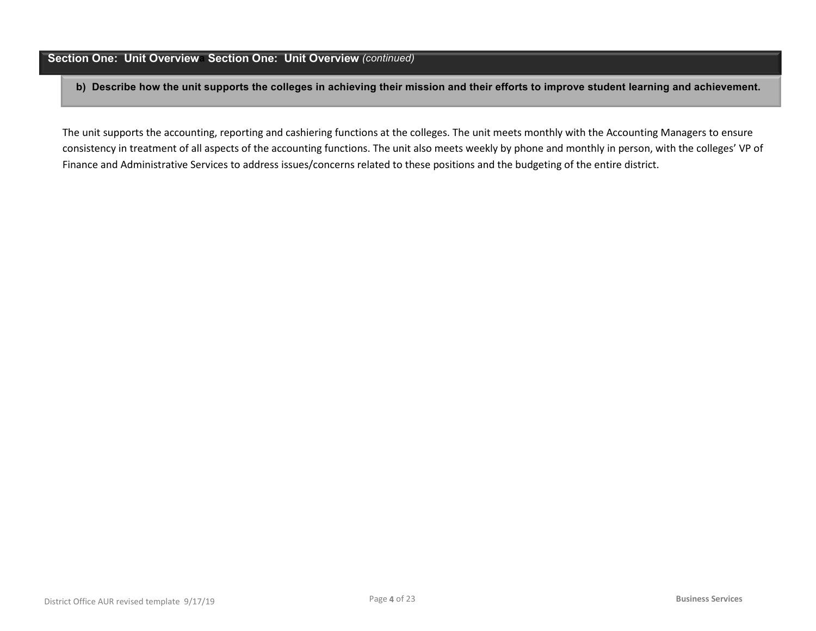#### **Section One: Unit Overviewa Section One: Unit Overview** *(continued)*

**b) Describe how the unit supports the colleges in achieving their mission and their efforts to improve student learning and achievement.** 

The unit supports the accounting, reporting and cashiering functions at the colleges. The unit meets monthly with the Accounting Managers to ensure consistency in treatment of all aspects of the accounting functions. The unit also meets weekly by phone and monthly in person, with the colleges' VP of Finance and Administrative Services to address issues/concerns related to these positions and the budgeting of the entire district.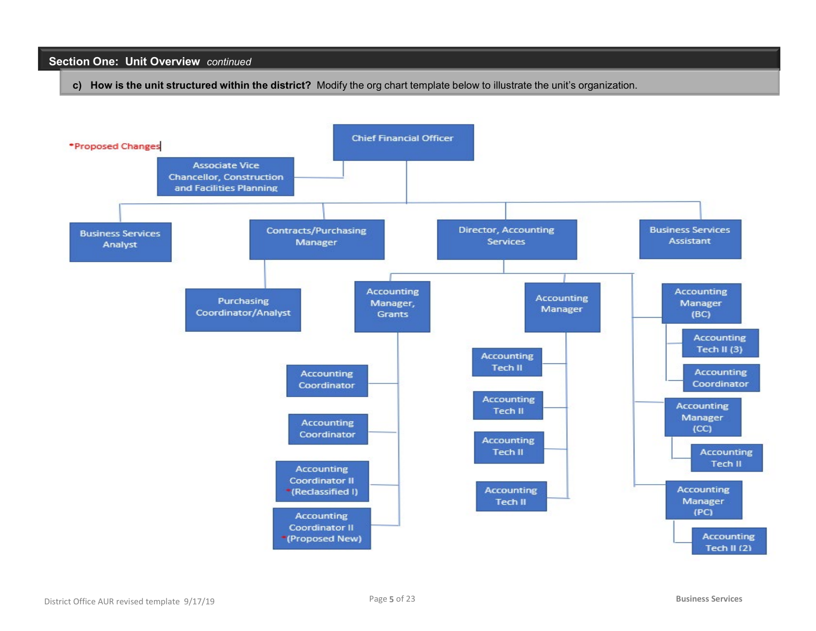#### **Section One: Unit Overview** *continued*

**c) How is the unit structured within the district?** Modify the org chart template below to illustrate the unit's organization.

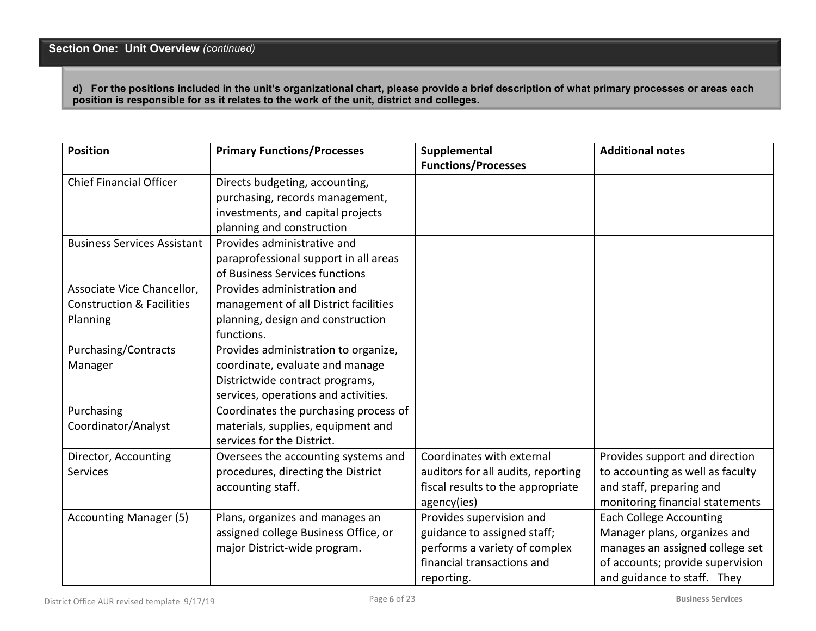**d) For the positions included in the unit's organizational chart, please provide a brief description of what primary processes or areas each position is responsible for as it relates to the work of the unit, district and colleges.**

| <b>Position</b>                      | <b>Primary Functions/Processes</b>    | Supplemental<br><b>Functions/Processes</b> | <b>Additional notes</b>          |
|--------------------------------------|---------------------------------------|--------------------------------------------|----------------------------------|
| <b>Chief Financial Officer</b>       | Directs budgeting, accounting,        |                                            |                                  |
|                                      | purchasing, records management,       |                                            |                                  |
|                                      | investments, and capital projects     |                                            |                                  |
|                                      | planning and construction             |                                            |                                  |
| <b>Business Services Assistant</b>   | Provides administrative and           |                                            |                                  |
|                                      | paraprofessional support in all areas |                                            |                                  |
|                                      | of Business Services functions        |                                            |                                  |
| Associate Vice Chancellor,           | Provides administration and           |                                            |                                  |
| <b>Construction &amp; Facilities</b> | management of all District facilities |                                            |                                  |
| Planning                             | planning, design and construction     |                                            |                                  |
|                                      | functions.                            |                                            |                                  |
| Purchasing/Contracts                 | Provides administration to organize,  |                                            |                                  |
| Manager                              | coordinate, evaluate and manage       |                                            |                                  |
|                                      | Districtwide contract programs,       |                                            |                                  |
|                                      | services, operations and activities.  |                                            |                                  |
| Purchasing                           | Coordinates the purchasing process of |                                            |                                  |
| Coordinator/Analyst                  | materials, supplies, equipment and    |                                            |                                  |
|                                      | services for the District.            |                                            |                                  |
| Director, Accounting                 | Oversees the accounting systems and   | Coordinates with external                  | Provides support and direction   |
| <b>Services</b>                      | procedures, directing the District    | auditors for all audits, reporting         | to accounting as well as faculty |
|                                      | accounting staff.                     | fiscal results to the appropriate          | and staff, preparing and         |
|                                      |                                       | agency(ies)                                | monitoring financial statements  |
| <b>Accounting Manager (5)</b>        | Plans, organizes and manages an       | Provides supervision and                   | <b>Each College Accounting</b>   |
|                                      | assigned college Business Office, or  | guidance to assigned staff;                | Manager plans, organizes and     |
|                                      | major District-wide program.          | performs a variety of complex              | manages an assigned college set  |
|                                      |                                       | financial transactions and                 | of accounts; provide supervision |
|                                      |                                       | reporting.                                 | and guidance to staff. They      |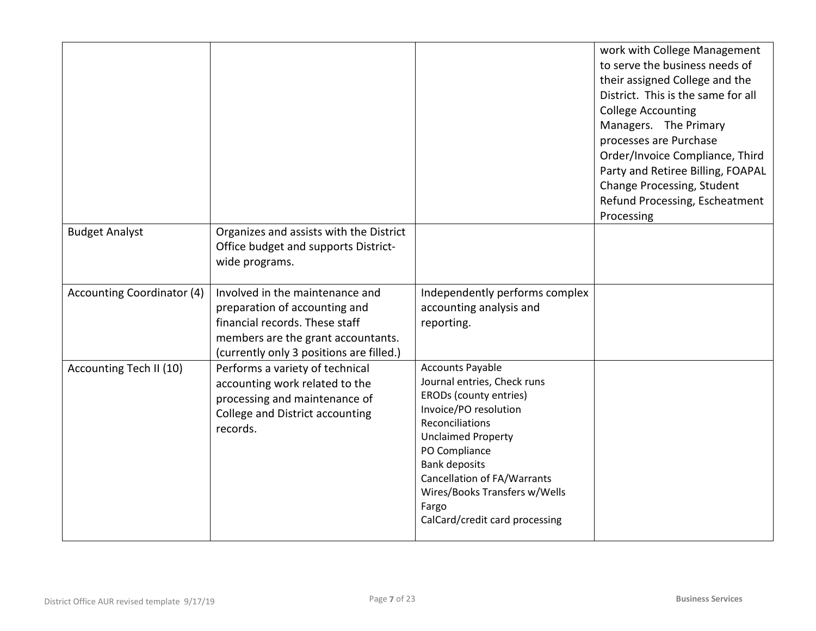|                                   |                                                                                                                                                                                      |                                                                                                                                                                                                                                                                                                                      | work with College Management<br>to serve the business needs of<br>their assigned College and the<br>District. This is the same for all<br><b>College Accounting</b><br>Managers. The Primary<br>processes are Purchase<br>Order/Invoice Compliance, Third<br>Party and Retiree Billing, FOAPAL<br>Change Processing, Student<br>Refund Processing, Escheatment<br>Processing |
|-----------------------------------|--------------------------------------------------------------------------------------------------------------------------------------------------------------------------------------|----------------------------------------------------------------------------------------------------------------------------------------------------------------------------------------------------------------------------------------------------------------------------------------------------------------------|------------------------------------------------------------------------------------------------------------------------------------------------------------------------------------------------------------------------------------------------------------------------------------------------------------------------------------------------------------------------------|
| <b>Budget Analyst</b>             | Organizes and assists with the District<br>Office budget and supports District-<br>wide programs.                                                                                    |                                                                                                                                                                                                                                                                                                                      |                                                                                                                                                                                                                                                                                                                                                                              |
| <b>Accounting Coordinator (4)</b> | Involved in the maintenance and<br>preparation of accounting and<br>financial records. These staff<br>members are the grant accountants.<br>(currently only 3 positions are filled.) | Independently performs complex<br>accounting analysis and<br>reporting.                                                                                                                                                                                                                                              |                                                                                                                                                                                                                                                                                                                                                                              |
| Accounting Tech II (10)           | Performs a variety of technical<br>accounting work related to the<br>processing and maintenance of<br>College and District accounting<br>records.                                    | <b>Accounts Payable</b><br>Journal entries, Check runs<br>ERODs (county entries)<br>Invoice/PO resolution<br>Reconciliations<br><b>Unclaimed Property</b><br>PO Compliance<br><b>Bank deposits</b><br><b>Cancellation of FA/Warrants</b><br>Wires/Books Transfers w/Wells<br>Fargo<br>CalCard/credit card processing |                                                                                                                                                                                                                                                                                                                                                                              |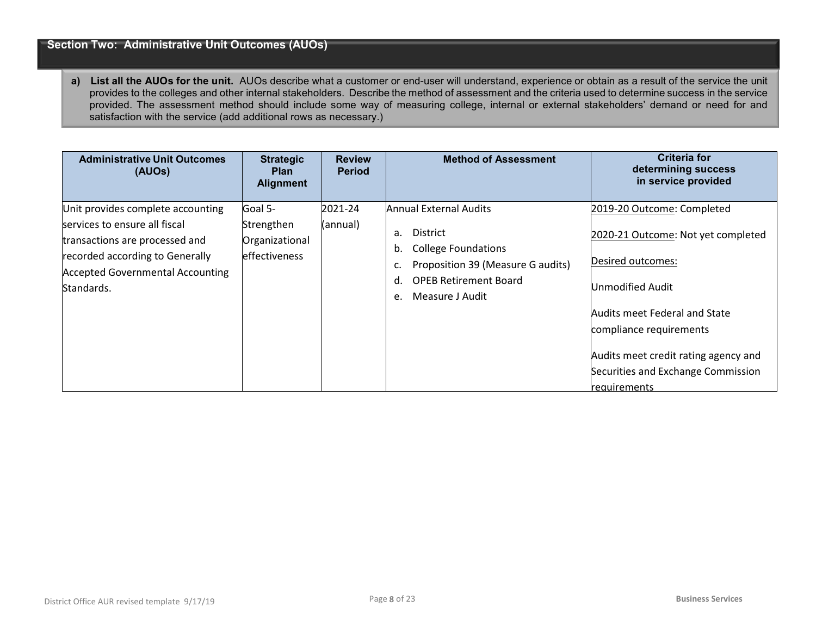#### **Section Two: Administrative Unit Outcomes (AUOs)**

**a) List all the AUOs for the unit.** AUOs describe what a customer or end-user will understand, experience or obtain as a result of the service the unit provides to the colleges and other internal stakeholders. Describe the method of assessment and the criteria used to determine success in the service provided. The assessment method should include some way of measuring college, internal or external stakeholders' demand or need for and satisfaction with the service (add additional rows as necessary.)

| <b>Administrative Unit Outcomes</b><br>(AUOs)                                                                                                                                                    | <b>Strategic</b><br><b>Plan</b><br><b>Alignment</b>              | <b>Review</b><br><b>Period</b> | <b>Method of Assessment</b>                                                                                                                                                      | Criteria for<br>determining success<br>in service provided                                                                                                                                                                                          |
|--------------------------------------------------------------------------------------------------------------------------------------------------------------------------------------------------|------------------------------------------------------------------|--------------------------------|----------------------------------------------------------------------------------------------------------------------------------------------------------------------------------|-----------------------------------------------------------------------------------------------------------------------------------------------------------------------------------------------------------------------------------------------------|
| Unit provides complete accounting<br>services to ensure all fiscal<br>transactions are processed and<br>recorded according to Generally<br><b>Accepted Governmental Accounting</b><br>Standards. | Goal 5-<br>Strengthen<br>Organizational<br><b>leffectiveness</b> | 2021-24<br>(annual)            | Annual External Audits<br>District<br>a.<br><b>College Foundations</b><br>b.<br>Proposition 39 (Measure G audits)<br><b>OPEB Retirement Board</b><br>d.<br>Measure J Audit<br>e. | 2019-20 Outcome: Completed<br>2020-21 Outcome: Not yet completed<br>Desired outcomes:<br>Unmodified Audit<br>Audits meet Federal and State<br>compliance requirements<br>Audits meet credit rating agency and<br>Securities and Exchange Commission |
|                                                                                                                                                                                                  |                                                                  |                                |                                                                                                                                                                                  | <b>requirements</b>                                                                                                                                                                                                                                 |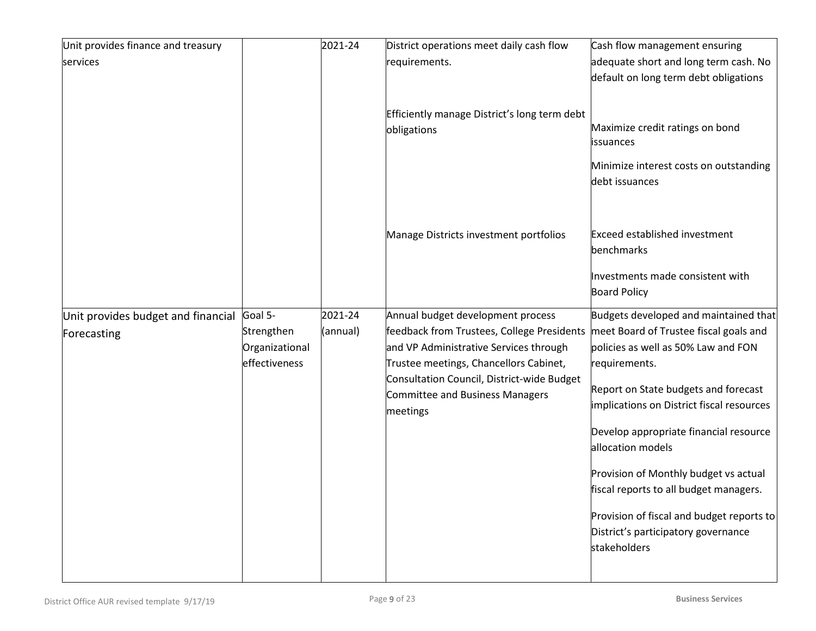| Unit provides finance and treasury                |                                                          | 2021-24             | District operations meet daily cash flow                                                                                                                                                                                                                         | Cash flow management ensuring                                                                                                                                                                                                                                                                                                                                                                                                                                                      |
|---------------------------------------------------|----------------------------------------------------------|---------------------|------------------------------------------------------------------------------------------------------------------------------------------------------------------------------------------------------------------------------------------------------------------|------------------------------------------------------------------------------------------------------------------------------------------------------------------------------------------------------------------------------------------------------------------------------------------------------------------------------------------------------------------------------------------------------------------------------------------------------------------------------------|
| services                                          |                                                          |                     | requirements.                                                                                                                                                                                                                                                    | adequate short and long term cash. No<br>default on long term debt obligations                                                                                                                                                                                                                                                                                                                                                                                                     |
|                                                   |                                                          |                     | Efficiently manage District's long term debt<br>obligations                                                                                                                                                                                                      | Maximize credit ratings on bond<br>issuances<br>Minimize interest costs on outstanding<br>debt issuances                                                                                                                                                                                                                                                                                                                                                                           |
|                                                   |                                                          |                     | Manage Districts investment portfolios                                                                                                                                                                                                                           | <b>Exceed established investment</b><br>benchmarks<br>Investments made consistent with<br><b>Board Policy</b>                                                                                                                                                                                                                                                                                                                                                                      |
| Unit provides budget and financial<br>Forecasting | Goal 5-<br>Strengthen<br>Organizational<br>effectiveness | 2021-24<br>(annual) | Annual budget development process<br>feedback from Trustees, College Presidents<br>and VP Administrative Services through<br>Trustee meetings, Chancellors Cabinet,<br>Consultation Council, District-wide Budget<br>Committee and Business Managers<br>meetings | Budgets developed and maintained that<br>meet Board of Trustee fiscal goals and<br>policies as well as 50% Law and FON<br>requirements.<br>Report on State budgets and forecast<br>implications on District fiscal resources<br>Develop appropriate financial resource<br>allocation models<br>Provision of Monthly budget vs actual<br>fiscal reports to all budget managers.<br>Provision of fiscal and budget reports to<br>District's participatory governance<br>stakeholders |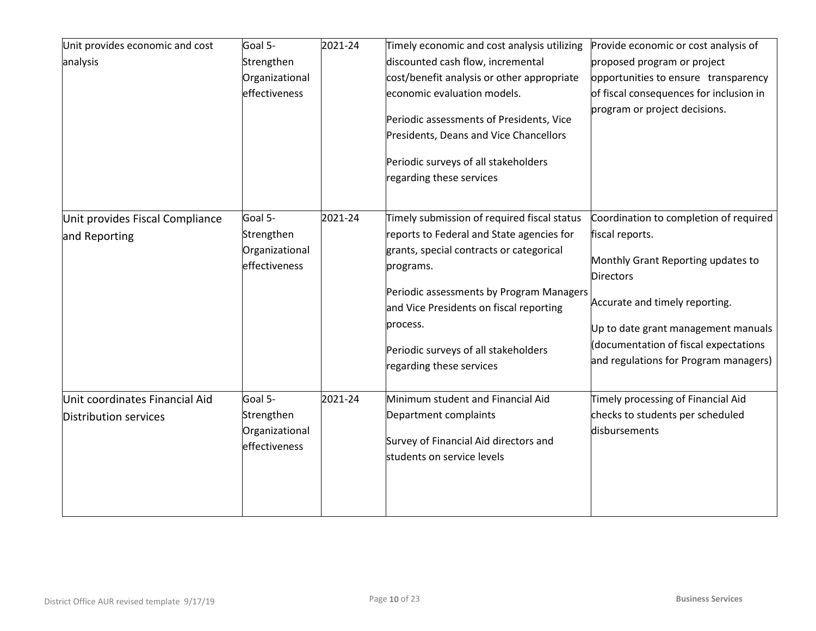| Unit provides economic and cost | Goal 5-        | 2021-24 | Timely economic and cost analysis utilizing | Provide economic or cost analysis of    |
|---------------------------------|----------------|---------|---------------------------------------------|-----------------------------------------|
| analysis                        | Strengthen     |         | discounted cash flow, incremental           | proposed program or project             |
|                                 | Organizational |         | cost/benefit analysis or other appropriate  | opportunities to ensure transparency    |
|                                 | effectiveness  |         | economic evaluation models.                 | of fiscal consequences for inclusion in |
|                                 |                |         |                                             | program or project decisions.           |
|                                 |                |         | Periodic assessments of Presidents, Vice    |                                         |
|                                 |                |         | Presidents, Deans and Vice Chancellors      |                                         |
|                                 |                |         | Periodic surveys of all stakeholders        |                                         |
|                                 |                |         | regarding these services                    |                                         |
|                                 |                |         |                                             |                                         |
|                                 |                |         |                                             |                                         |
| Unit provides Fiscal Compliance | Goal 5-        | 2021-24 | Timely submission of required fiscal status | Coordination to completion of required  |
| and Reporting                   | Strengthen     |         | reports to Federal and State agencies for   | fiscal reports.                         |
|                                 | Organizational |         | grants, special contracts or categorical    | Monthly Grant Reporting updates to      |
|                                 | effectiveness  |         | programs.                                   | <b>Directors</b>                        |
|                                 |                |         | Periodic assessments by Program Managers    |                                         |
|                                 |                |         | and Vice Presidents on fiscal reporting     | Accurate and timely reporting.          |
|                                 |                |         | process.                                    |                                         |
|                                 |                |         |                                             | Up to date grant management manuals     |
|                                 |                |         | Periodic surveys of all stakeholders        | documentation of fiscal expectations    |
|                                 |                |         | regarding these services                    | and regulations for Program managers)   |
|                                 |                |         |                                             |                                         |
| Unit coordinates Financial Aid  | Goal 5-        | 2021-24 | Minimum student and Financial Aid           | Timely processing of Financial Aid      |
| Distribution services           | Strengthen     |         | Department complaints                       | checks to students per scheduled        |
|                                 | Organizational |         |                                             | disbursements                           |
|                                 | effectiveness  |         | Survey of Financial Aid directors and       |                                         |
|                                 |                |         | students on service levels                  |                                         |
|                                 |                |         |                                             |                                         |
|                                 |                |         |                                             |                                         |
|                                 |                |         |                                             |                                         |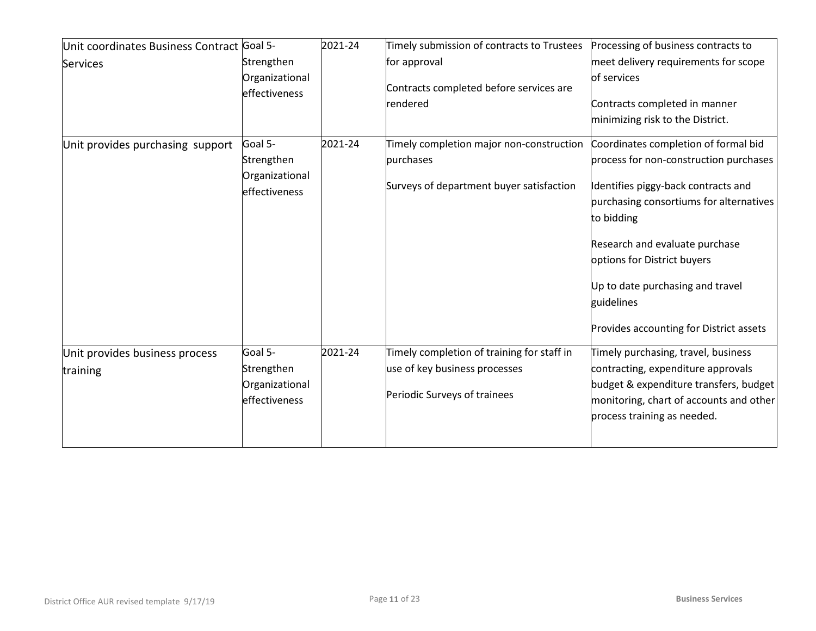| Unit coordinates Business Contract Goal 5- |                                                          | 2021-24 | Timely submission of contracts to Trustees                                                                  | Processing of business contracts to                                                                                                                                                           |
|--------------------------------------------|----------------------------------------------------------|---------|-------------------------------------------------------------------------------------------------------------|-----------------------------------------------------------------------------------------------------------------------------------------------------------------------------------------------|
| <b>Services</b>                            | Strengthen                                               |         | for approval                                                                                                | meet delivery requirements for scope                                                                                                                                                          |
|                                            | Organizational<br>effectiveness                          |         | Contracts completed before services are<br>rendered                                                         | of services<br>Contracts completed in manner                                                                                                                                                  |
|                                            |                                                          |         |                                                                                                             | minimizing risk to the District.                                                                                                                                                              |
| Unit provides purchasing support           | Goal 5-<br>Strengthen                                    | 2021-24 | Timely completion major non-construction<br>purchases                                                       | Coordinates completion of formal bid<br>process for non-construction purchases                                                                                                                |
|                                            | Organizational<br>effectiveness                          |         | Surveys of department buyer satisfaction                                                                    | Identifies piggy-back contracts and<br>purchasing consortiums for alternatives<br>to bidding<br>Research and evaluate purchase                                                                |
|                                            |                                                          |         |                                                                                                             | options for District buyers<br>Up to date purchasing and travel<br>guidelines<br>Provides accounting for District assets                                                                      |
| Unit provides business process<br>training | Goal 5-<br>Strengthen<br>Organizational<br>effectiveness | 2021-24 | Timely completion of training for staff in<br>use of key business processes<br>Periodic Surveys of trainees | Timely purchasing, travel, business<br>contracting, expenditure approvals<br>budget & expenditure transfers, budget<br>monitoring, chart of accounts and other<br>process training as needed. |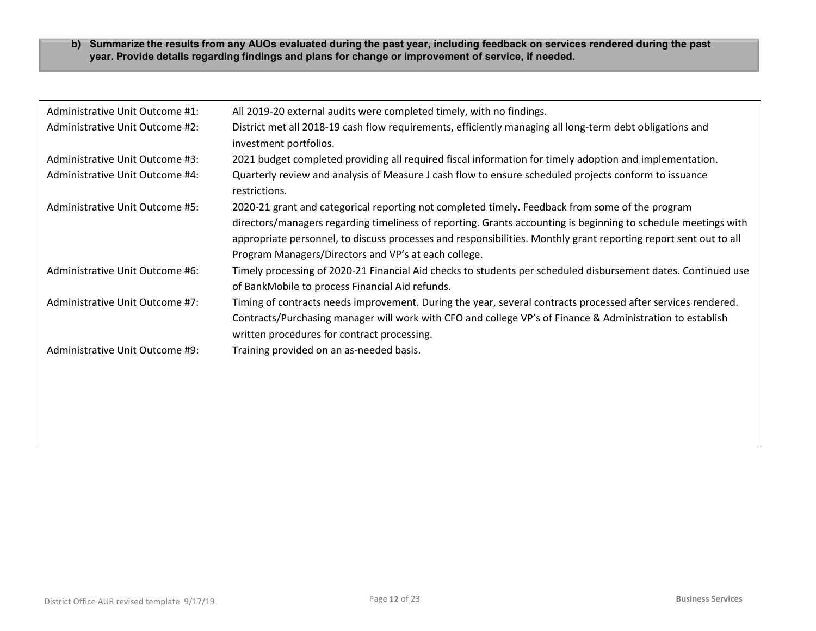#### **b) Summarize the results from any AUOs evaluated during the past year, including feedback on services rendered during the past year. Provide details regarding findings and plans for change or improvement of service, if needed.**

| Administrative Unit Outcome #1: | All 2019-20 external audits were completed timely, with no findings.                                                                                                                                                                                                                                                                                                                          |
|---------------------------------|-----------------------------------------------------------------------------------------------------------------------------------------------------------------------------------------------------------------------------------------------------------------------------------------------------------------------------------------------------------------------------------------------|
| Administrative Unit Outcome #2: | District met all 2018-19 cash flow requirements, efficiently managing all long-term debt obligations and<br>investment portfolios.                                                                                                                                                                                                                                                            |
| Administrative Unit Outcome #3: | 2021 budget completed providing all required fiscal information for timely adoption and implementation.                                                                                                                                                                                                                                                                                       |
| Administrative Unit Outcome #4: | Quarterly review and analysis of Measure J cash flow to ensure scheduled projects conform to issuance<br>restrictions.                                                                                                                                                                                                                                                                        |
| Administrative Unit Outcome #5: | 2020-21 grant and categorical reporting not completed timely. Feedback from some of the program<br>directors/managers regarding timeliness of reporting. Grants accounting is beginning to schedule meetings with<br>appropriate personnel, to discuss processes and responsibilities. Monthly grant reporting report sent out to all<br>Program Managers/Directors and VP's at each college. |
| Administrative Unit Outcome #6: | Timely processing of 2020-21 Financial Aid checks to students per scheduled disbursement dates. Continued use<br>of BankMobile to process Financial Aid refunds.                                                                                                                                                                                                                              |
| Administrative Unit Outcome #7: | Timing of contracts needs improvement. During the year, several contracts processed after services rendered.<br>Contracts/Purchasing manager will work with CFO and college VP's of Finance & Administration to establish<br>written procedures for contract processing.                                                                                                                      |
| Administrative Unit Outcome #9: | Training provided on an as-needed basis.                                                                                                                                                                                                                                                                                                                                                      |
|                                 |                                                                                                                                                                                                                                                                                                                                                                                               |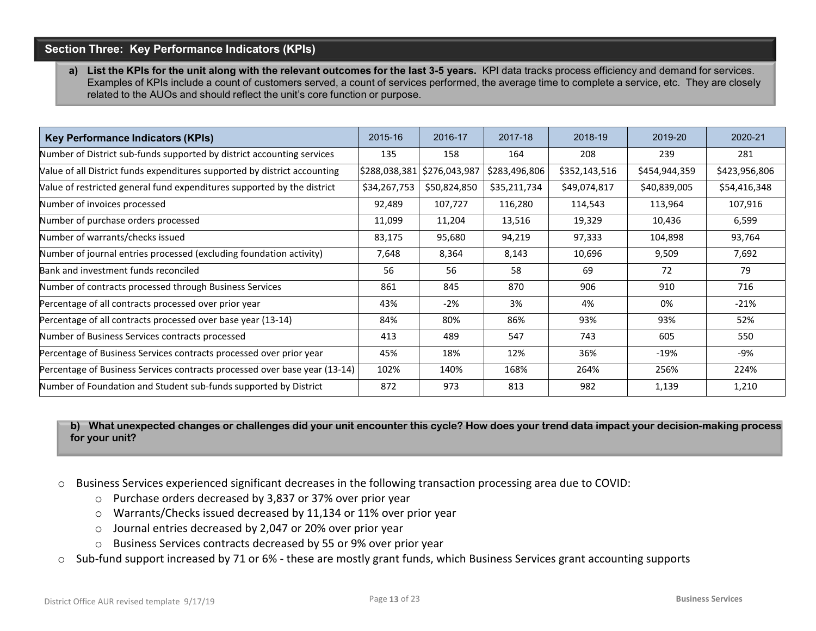#### **Section Three: Key Performance Indicators (KPIs)**

a) List the KPIs for the unit along with the relevant outcomes for the last 3-5 years. KPI data tracks process efficiency and demand for services. Examples of KPIs include a count of customers served, a count of services performed, the average time to complete a service, etc. They are closely related to the AUOs and should reflect the unit's core function or purpose.

| <b>Key Performance Indicators (KPIs)</b>                                   | 2015-16       | 2016-17       | 2017-18       | 2018-19       | 2019-20       | 2020-21       |
|----------------------------------------------------------------------------|---------------|---------------|---------------|---------------|---------------|---------------|
| Number of District sub-funds supported by district accounting services     | 135           | 158           | 164           | 208           | 239           | 281           |
| Value of all District funds expenditures supported by district accounting  | \$288,038,381 | \$276,043,987 | \$283,496,806 | \$352,143,516 | \$454,944,359 | \$423,956,806 |
| Value of restricted general fund expenditures supported by the district    | \$34,267,753  | \$50,824,850  | \$35,211,734  | \$49,074,817  | \$40,839,005  | \$54,416,348  |
| Number of invoices processed                                               | 92,489        | 107,727       | 116,280       | 114,543       | 113,964       | 107,916       |
| Number of purchase orders processed                                        | 11,099        | 11,204        | 13,516        | 19,329        | 10,436        | 6,599         |
| Number of warrants/checks issued                                           | 83,175        | 95,680        | 94,219        | 97,333        | 104,898       | 93,764        |
| Number of journal entries processed (excluding foundation activity)        | 7,648         | 8,364         | 8,143         | 10,696        | 9,509         | 7,692         |
| Bank and investment funds reconciled                                       | 56            | 56            | 58            | 69            | 72            | 79            |
| Number of contracts processed through Business Services                    | 861           | 845           | 870           | 906           | 910           | 716           |
| Percentage of all contracts processed over prior year                      | 43%           | $-2%$         | 3%            | 4%            | 0%            | $-21%$        |
| Percentage of all contracts processed over base year (13-14)               | 84%           | 80%           | 86%           | 93%           | 93%           | 52%           |
| Number of Business Services contracts processed                            | 413           | 489           | 547           | 743           | 605           | 550           |
| Percentage of Business Services contracts processed over prior year        | 45%           | 18%           | 12%           | 36%           | $-19%$        | -9%           |
| Percentage of Business Services contracts processed over base year (13-14) | 102%          | 140%          | 168%          | 264%          | 256%          | 224%          |
| Number of Foundation and Student sub-funds supported by District           | 872           | 973           | 813           | 982           | 1,139         | 1,210         |

**b) What unexpected changes or challenges did your unit encounter this cycle? How does your trend data impact your decision-making process for your unit?** 

- o Business Services experienced significant decreases in the following transaction processing area due to COVID:
	- o Purchase orders decreased by 3,837 or 37% over prior year
	- o Warrants/Checks issued decreased by 11,134 or 11% over prior year
	- o Journal entries decreased by 2,047 or 20% over prior year
	- o Business Services contracts decreased by 55 or 9% over prior year
- o Sub-fund support increased by 71 or 6% these are mostly grant funds, which Business Services grant accounting supports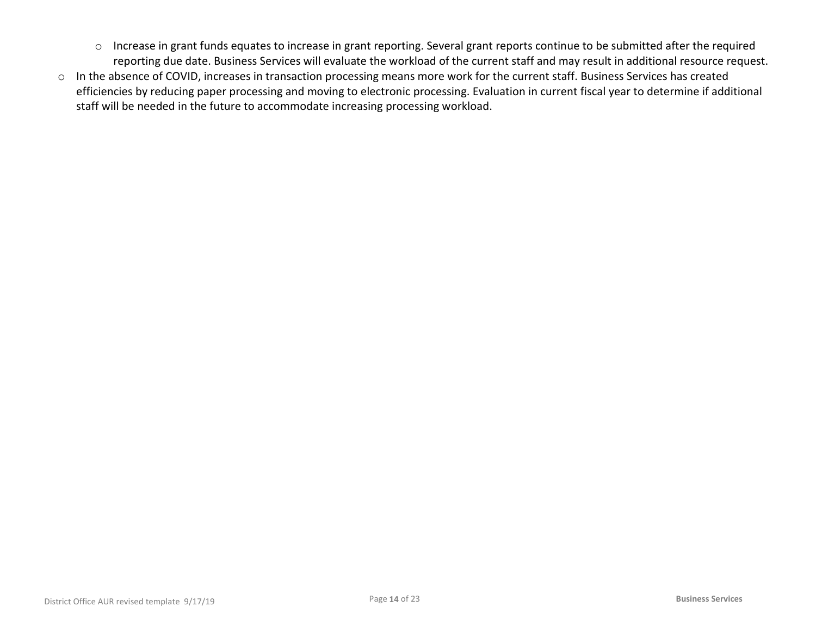- o Increase in grant funds equates to increase in grant reporting. Several grant reports continue to be submitted after the required reporting due date. Business Services will evaluate the workload of the current staff and may result in additional resource request.
- o In the absence of COVID, increases in transaction processing means more work for the current staff. Business Services has created efficiencies by reducing paper processing and moving to electronic processing. Evaluation in current fiscal year to determine if additional staff will be needed in the future to accommodate increasing processing workload.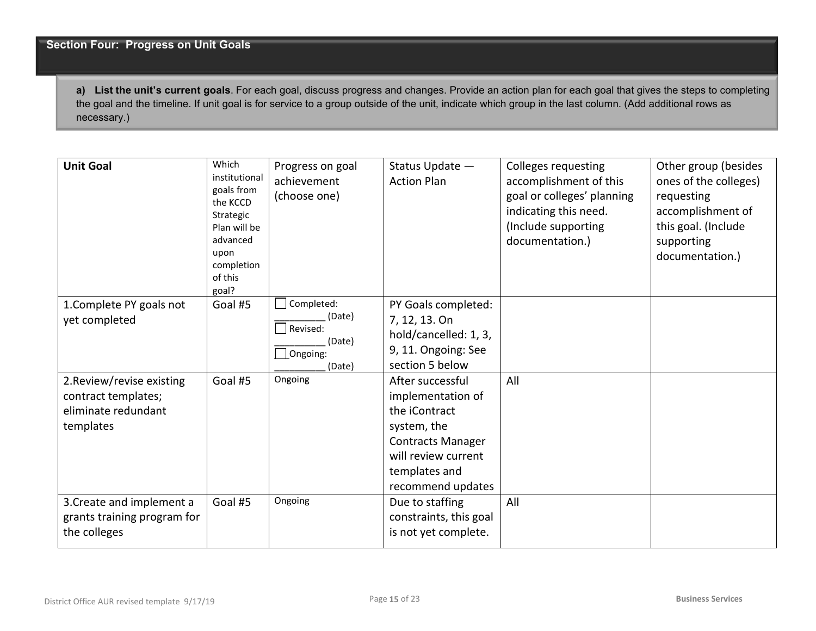**a) List the unit's current goals**. For each goal, discuss progress and changes. Provide an action plan for each goal that gives the steps to completing the goal and the timeline. If unit goal is for service to a group outside of the unit, indicate which group in the last column. (Add additional rows as necessary.)

| <b>Unit Goal</b>                                                                     | Which<br>institutional<br>goals from<br>the KCCD<br>Strategic<br>Plan will be<br>advanced<br>upon<br>completion<br>of this<br>goal? | Progress on goal<br>achievement<br>(choose one)                  | Status Update -<br><b>Action Plan</b>                                                                                                                          | <b>Colleges requesting</b><br>accomplishment of this<br>goal or colleges' planning<br>indicating this need.<br>(Include supporting<br>documentation.) | Other group (besides<br>ones of the colleges)<br>requesting<br>accomplishment of<br>this goal. (Include<br>supporting<br>documentation.) |
|--------------------------------------------------------------------------------------|-------------------------------------------------------------------------------------------------------------------------------------|------------------------------------------------------------------|----------------------------------------------------------------------------------------------------------------------------------------------------------------|-------------------------------------------------------------------------------------------------------------------------------------------------------|------------------------------------------------------------------------------------------------------------------------------------------|
| 1. Complete PY goals not<br>yet completed                                            | Goal #5                                                                                                                             | Completed:<br>(Date)<br>Revised:<br>(Date)<br>Ongoing:<br>(Date) | PY Goals completed:<br>7, 12, 13. On<br>hold/cancelled: 1, 3,<br>9, 11. Ongoing: See<br>section 5 below                                                        |                                                                                                                                                       |                                                                                                                                          |
| 2. Review/revise existing<br>contract templates;<br>eliminate redundant<br>templates | Goal #5                                                                                                                             | Ongoing                                                          | After successful<br>implementation of<br>the iContract<br>system, the<br><b>Contracts Manager</b><br>will review current<br>templates and<br>recommend updates | All                                                                                                                                                   |                                                                                                                                          |
| 3. Create and implement a<br>grants training program for<br>the colleges             | Goal #5                                                                                                                             | Ongoing                                                          | Due to staffing<br>constraints, this goal<br>is not yet complete.                                                                                              | All                                                                                                                                                   |                                                                                                                                          |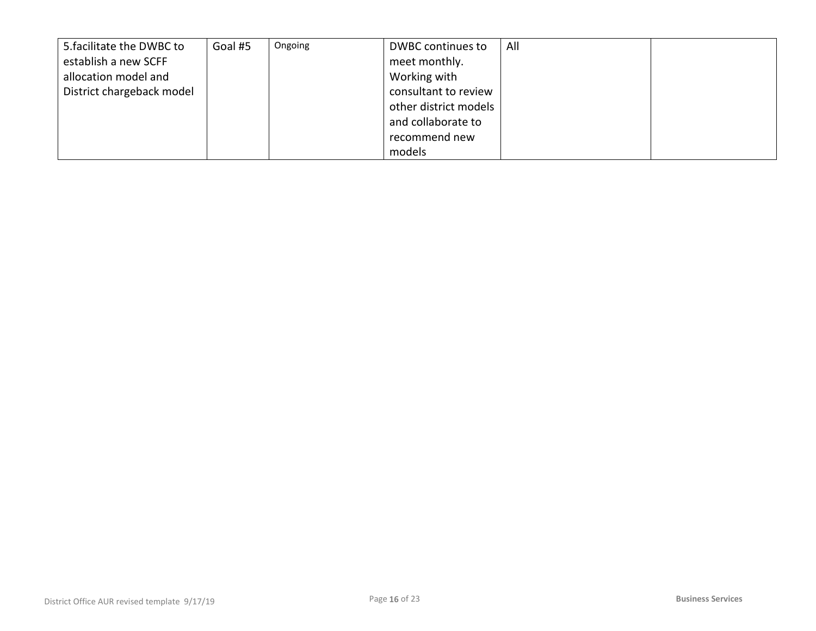| 5. facilitate the DWBC to | Goal #5 | Ongoing | DWBC continues to     | All |  |
|---------------------------|---------|---------|-----------------------|-----|--|
| establish a new SCFF      |         |         | meet monthly.         |     |  |
| allocation model and      |         |         | Working with          |     |  |
| District chargeback model |         |         | consultant to review  |     |  |
|                           |         |         | other district models |     |  |
|                           |         |         | and collaborate to    |     |  |
|                           |         |         | recommend new         |     |  |
|                           |         |         | models                |     |  |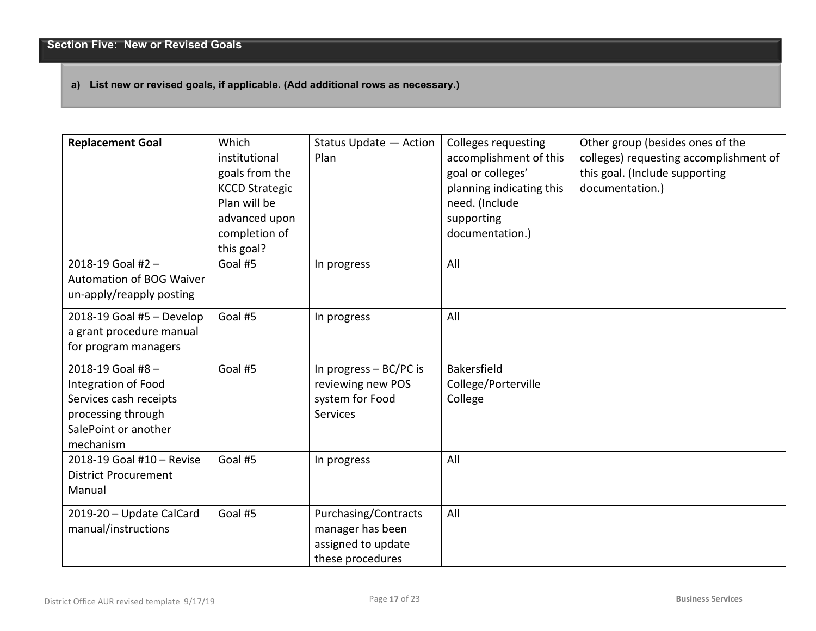#### **a) List new or revised goals, if applicable. (Add additional rows as necessary.)**

| <b>Replacement Goal</b>                                                                                                      | Which<br>institutional<br>goals from the<br><b>KCCD Strategic</b><br>Plan will be<br>advanced upon<br>completion of<br>this goal? | Status Update - Action<br>Plan                                                     | <b>Colleges requesting</b><br>accomplishment of this<br>goal or colleges'<br>planning indicating this<br>need. (Include<br>supporting<br>documentation.) | Other group (besides ones of the<br>colleges) requesting accomplishment of<br>this goal. (Include supporting<br>documentation.) |
|------------------------------------------------------------------------------------------------------------------------------|-----------------------------------------------------------------------------------------------------------------------------------|------------------------------------------------------------------------------------|----------------------------------------------------------------------------------------------------------------------------------------------------------|---------------------------------------------------------------------------------------------------------------------------------|
| 2018-19 Goal #2-<br>Automation of BOG Waiver<br>un-apply/reapply posting                                                     | Goal #5                                                                                                                           | In progress                                                                        | All                                                                                                                                                      |                                                                                                                                 |
| 2018-19 Goal #5 - Develop<br>a grant procedure manual<br>for program managers                                                | Goal #5                                                                                                                           | In progress                                                                        | All                                                                                                                                                      |                                                                                                                                 |
| 2018-19 Goal #8-<br>Integration of Food<br>Services cash receipts<br>processing through<br>SalePoint or another<br>mechanism | Goal #5                                                                                                                           | In progress $-$ BC/PC is<br>reviewing new POS<br>system for Food<br>Services       | <b>Bakersfield</b><br>College/Porterville<br>College                                                                                                     |                                                                                                                                 |
| 2018-19 Goal #10 - Revise<br><b>District Procurement</b><br>Manual                                                           | Goal #5                                                                                                                           | In progress                                                                        | All                                                                                                                                                      |                                                                                                                                 |
| 2019-20 - Update CalCard<br>manual/instructions                                                                              | Goal #5                                                                                                                           | Purchasing/Contracts<br>manager has been<br>assigned to update<br>these procedures | All                                                                                                                                                      |                                                                                                                                 |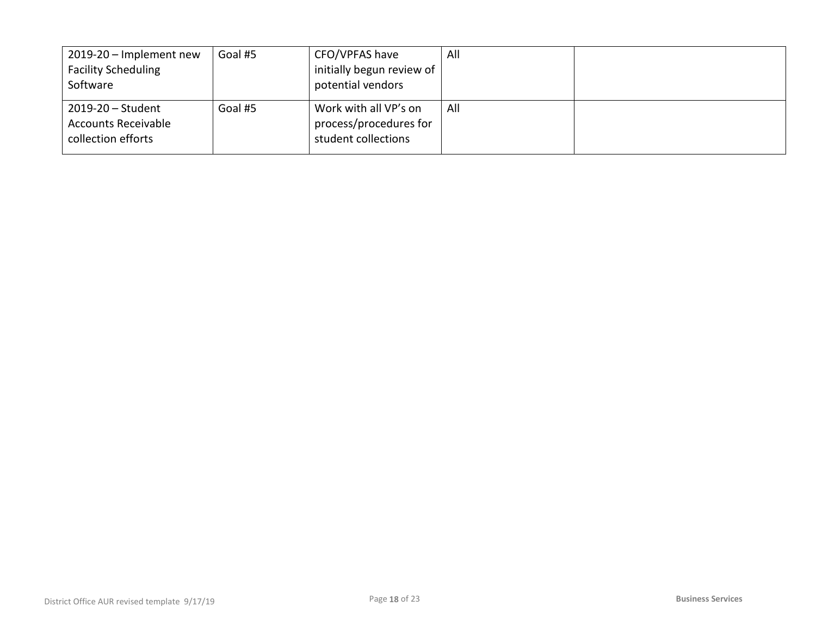| 2019-20 - Implement new    | Goal #5 | CFO/VPFAS have            | All |  |
|----------------------------|---------|---------------------------|-----|--|
| <b>Facility Scheduling</b> |         | initially begun review of |     |  |
| Software                   |         | potential vendors         |     |  |
|                            |         |                           |     |  |
| $2019 - 20 - Student$      | Goal #5 | Work with all VP's on     | All |  |
| <b>Accounts Receivable</b> |         | process/procedures for    |     |  |
| collection efforts         |         | student collections       |     |  |
|                            |         |                           |     |  |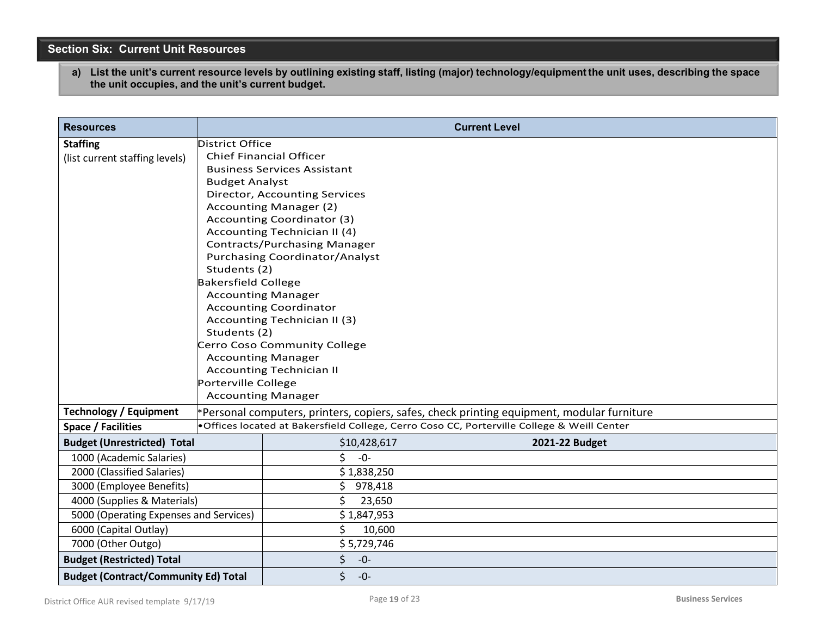## **Section Six: Current Unit Resources**

a) List the unit's current resource levels by outlining existing staff, listing (major) technology/equipment the unit uses, describing the space **the unit occupies, and the unit's current budget.**

| <b>Resources</b>                            |                                                       |                                      | <b>Current Level</b>                                                                        |  |  |
|---------------------------------------------|-------------------------------------------------------|--------------------------------------|---------------------------------------------------------------------------------------------|--|--|
| <b>Staffing</b>                             | District Office                                       |                                      |                                                                                             |  |  |
| (list current staffing levels)              |                                                       | <b>Chief Financial Officer</b>       |                                                                                             |  |  |
|                                             |                                                       | <b>Business Services Assistant</b>   |                                                                                             |  |  |
|                                             | <b>Budget Analyst</b>                                 |                                      |                                                                                             |  |  |
|                                             |                                                       | <b>Director, Accounting Services</b> |                                                                                             |  |  |
|                                             |                                                       | <b>Accounting Manager (2)</b>        |                                                                                             |  |  |
|                                             |                                                       | Accounting Coordinator (3)           |                                                                                             |  |  |
|                                             |                                                       | Accounting Technician II (4)         |                                                                                             |  |  |
|                                             |                                                       | <b>Contracts/Purchasing Manager</b>  |                                                                                             |  |  |
|                                             | <b>Purchasing Coordinator/Analyst</b><br>Students (2) |                                      |                                                                                             |  |  |
|                                             | <b>Bakersfield College</b>                            |                                      |                                                                                             |  |  |
|                                             | <b>Accounting Manager</b>                             |                                      |                                                                                             |  |  |
|                                             | <b>Accounting Coordinator</b>                         |                                      |                                                                                             |  |  |
|                                             |                                                       | Accounting Technician II (3)         |                                                                                             |  |  |
|                                             | Students (2)                                          |                                      |                                                                                             |  |  |
|                                             |                                                       | Cerro Coso Community College         |                                                                                             |  |  |
|                                             | <b>Accounting Manager</b>                             |                                      |                                                                                             |  |  |
|                                             |                                                       | <b>Accounting Technician II</b>      |                                                                                             |  |  |
|                                             | Porterville College<br><b>Accounting Manager</b>      |                                      |                                                                                             |  |  |
|                                             |                                                       |                                      |                                                                                             |  |  |
| <b>Technology / Equipment</b>               |                                                       |                                      | *Personal computers, printers, copiers, safes, check printing equipment, modular furniture  |  |  |
| <b>Space / Facilities</b>                   |                                                       |                                      | . Offices located at Bakersfield College, Cerro Coso CC, Porterville College & Weill Center |  |  |
| <b>Budget (Unrestricted) Total</b>          |                                                       | \$10,428,617                         | 2021-22 Budget                                                                              |  |  |
| 1000 (Academic Salaries)                    |                                                       | \$<br>$-0-$                          |                                                                                             |  |  |
| 2000 (Classified Salaries)                  |                                                       | \$1,838,250                          |                                                                                             |  |  |
| 3000 (Employee Benefits)                    |                                                       | \$<br>978,418                        |                                                                                             |  |  |
| 4000 (Supplies & Materials)                 |                                                       | \$<br>23,650                         |                                                                                             |  |  |
| 5000 (Operating Expenses and Services)      |                                                       | \$1,847,953                          |                                                                                             |  |  |
| 6000 (Capital Outlay)                       |                                                       | \$<br>10,600                         |                                                                                             |  |  |
| 7000 (Other Outgo)                          |                                                       | \$5,729,746                          |                                                                                             |  |  |
| <b>Budget (Restricted) Total</b>            |                                                       | \$<br>$-0-$                          |                                                                                             |  |  |
| <b>Budget (Contract/Community Ed) Total</b> |                                                       | \$<br>$-0-$                          |                                                                                             |  |  |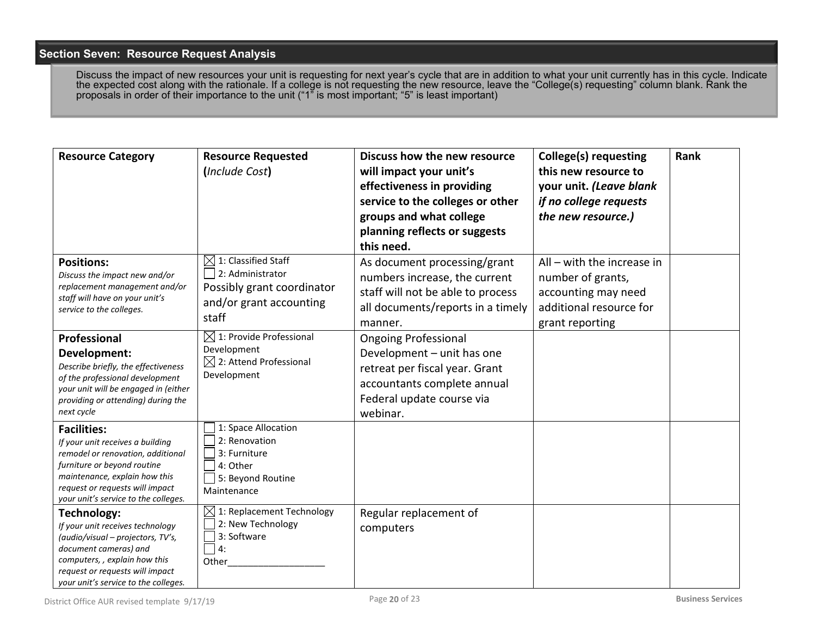### **Section Seven: Resource Request Analysis**

Discuss the impact of new resources your unit is requesting for next year's cycle that are in addition to what your unit currently has in this cycle. Indicate the expected cost along with the rationale. If a college is not requesting the new resource, leave the "College(s) requesting" column blank. Rank the proposals in order of their importance to the unit ("1" is most important; "5" is least important)

| <b>Resource Category</b>                                                                                                                                                                                                               | <b>Resource Requested</b><br>(Include Cost)                                                                           | Discuss how the new resource<br>will impact your unit's<br>effectiveness in providing<br>service to the colleges or other<br>groups and what college<br>planning reflects or suggests<br>this need. | <b>College(s) requesting</b><br>this new resource to<br>your unit. (Leave blank<br>if no college requests<br>the new resource.) | Rank |
|----------------------------------------------------------------------------------------------------------------------------------------------------------------------------------------------------------------------------------------|-----------------------------------------------------------------------------------------------------------------------|-----------------------------------------------------------------------------------------------------------------------------------------------------------------------------------------------------|---------------------------------------------------------------------------------------------------------------------------------|------|
| <b>Positions:</b><br>Discuss the impact new and/or<br>replacement management and/or<br>staff will have on your unit's<br>service to the colleges.                                                                                      | $\boxtimes$ 1: Classified Staff<br>2: Administrator<br>Possibly grant coordinator<br>and/or grant accounting<br>staff | As document processing/grant<br>numbers increase, the current<br>staff will not be able to process<br>all documents/reports in a timely<br>manner.                                                  | $All - with the increase in$<br>number of grants,<br>accounting may need<br>additional resource for<br>grant reporting          |      |
| Professional<br>Development:<br>Describe briefly, the effectiveness<br>of the professional development<br>your unit will be engaged in (either<br>providing or attending) during the<br>next cycle                                     | $\boxtimes$ 1: Provide Professional<br>Development<br>$\boxtimes$ 2: Attend Professional<br>Development               | <b>Ongoing Professional</b><br>Development - unit has one<br>retreat per fiscal year. Grant<br>accountants complete annual<br>Federal update course via<br>webinar.                                 |                                                                                                                                 |      |
| <b>Facilities:</b><br>If your unit receives a building<br>remodel or renovation, additional<br>furniture or beyond routine<br>maintenance, explain how this<br>request or requests will impact<br>your unit's service to the colleges. | 1: Space Allocation<br>2: Renovation<br>3: Furniture<br>4: Other<br>5: Beyond Routine<br>Maintenance                  |                                                                                                                                                                                                     |                                                                                                                                 |      |
| Technology:<br>If your unit receives technology<br>(audio/visual - projectors, TV's,<br>document cameras) and<br>computers,, explain how this<br>request or requests will impact<br>your unit's service to the colleges.               | $\boxtimes$ 1: Replacement Technology<br>2: New Technology<br>3: Software<br>4:<br>Other                              | Regular replacement of<br>computers                                                                                                                                                                 |                                                                                                                                 |      |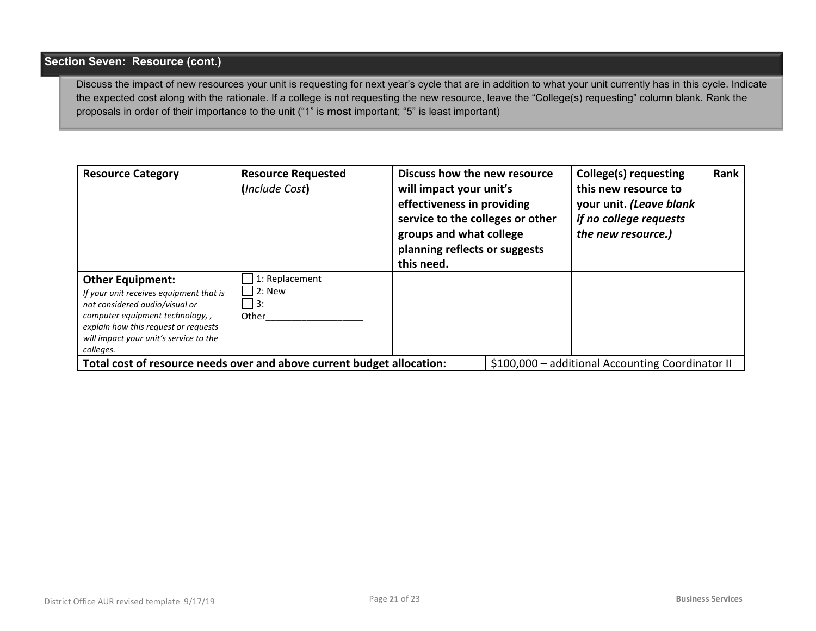## **Section Seven: Resource (cont.)**

Discuss the impact of new resources your unit is requesting for next year's cycle that are in addition to what your unit currently has in this cycle. Indicate the expected cost along with the rationale. If a college is not requesting the new resource, leave the "College(s) requesting" column blank. Rank the proposals in order of their importance to the unit ("1" is **most** important; "5" is least important)

| <b>Resource Category</b>                                                                                                                                                                                                               | <b>Resource Requested</b><br>(Include Cost) | Discuss how the new resource<br>will impact your unit's<br>effectiveness in providing<br>service to the colleges or other<br>groups and what college<br>planning reflects or suggests<br>this need. | <b>College(s) requesting</b><br>this new resource to<br>your unit. (Leave blank<br>if no college requests<br>the new resource.) | Rank |
|----------------------------------------------------------------------------------------------------------------------------------------------------------------------------------------------------------------------------------------|---------------------------------------------|-----------------------------------------------------------------------------------------------------------------------------------------------------------------------------------------------------|---------------------------------------------------------------------------------------------------------------------------------|------|
| <b>Other Equipment:</b><br>If your unit receives equipment that is<br>not considered audio/visual or<br>computer equipment technology,,<br>explain how this request or requests<br>will impact your unit's service to the<br>colleges. | 1: Replacement<br>$2:$ New<br>l 3:<br>Other |                                                                                                                                                                                                     |                                                                                                                                 |      |
| Total cost of resource needs over and above current budget allocation:                                                                                                                                                                 |                                             |                                                                                                                                                                                                     | \$100,000 - additional Accounting Coordinator II                                                                                |      |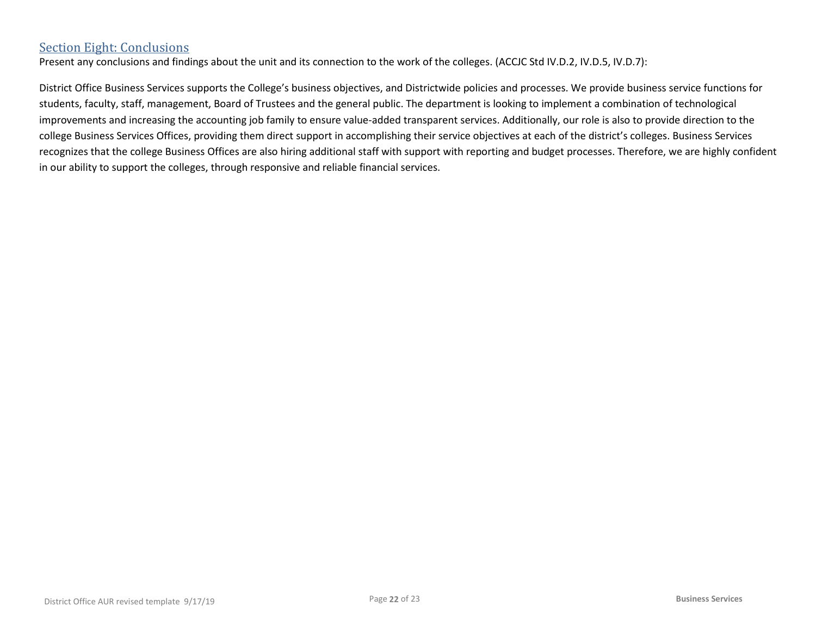## Section Eight: Conclusions

Present any conclusions and findings about the unit and its connection to the work of the colleges. (ACCJC Std IV.D.2, IV.D.5, IV.D.7):

District Office Business Services supports the College's business objectives, and Districtwide policies and processes. We provide business service functions for students, faculty, staff, management, Board of Trustees and the general public. The department is looking to implement a combination of technological improvements and increasing the accounting job family to ensure value-added transparent services. Additionally, our role is also to provide direction to the college Business Services Offices, providing them direct support in accomplishing their service objectives at each of the district's colleges. Business Services recognizes that the college Business Offices are also hiring additional staff with support with reporting and budget processes. Therefore, we are highly confident in our ability to support the colleges, through responsive and reliable financial services.